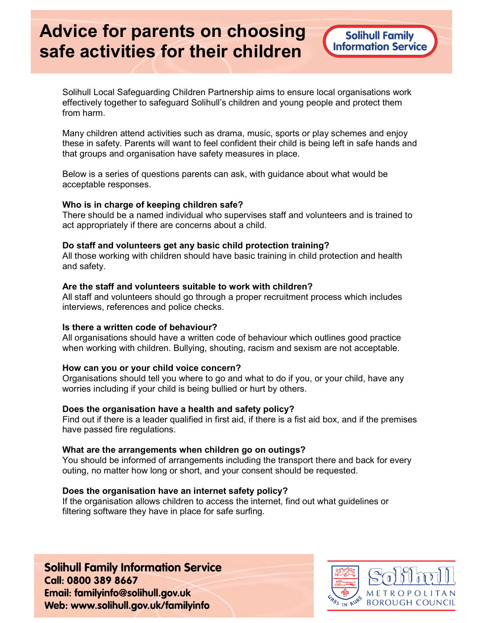# Advice for parents on choosing safe activities for their children

Solihull Local Safeguarding Children Partnership aims to ensure local organisations work effectively together to safeguard Solihull's children and young people and protect them from harm.

Many children attend activities such as drama, music, sports or play schemes and enjoy these in safety. Parents will want to feel confident their child is being left in safe hands and that groups and organisation have safety measures in place.

Below is a series of questions parents can ask, with guidance about what would be acceptable responses.

#### Who is in charge of keeping children safe?

There should be a named individual who supervises staff and volunteers and is trained to act appropriately if there are concerns about a child.

#### Do staff and volunteers get any basic child protection training?

All those working with children should have basic training in child protection and health and safety.

#### Are the staff and volunteers suitable to work with children?

All staff and volunteers should go through a proper recruitment process which includes interviews, references and police checks.

#### Is there a written code of behaviour?

All organisations should have a written code of behaviour which outlines good practice when working with children. Bullying, shouting, racism and sexism are not acceptable.

#### How can you or your child voice concern?

Organisations should tell you where to go and what to do if you, or your child, have any worries including if your child is being bullied or hurt by others.

#### Does the organisation have a health and safety policy?

Find out if there is a leader qualified in first aid, if there is a fist aid box, and if the premises have passed fire regulations.

#### What are the arrangements when children go on outings?

You should be informed of arrangements including the transport there and back for every outing, no matter how long or short, and your consent should be requested.

#### Does the organisation have an internet safety policy?

If the organisation allows children to access the internet, find out what guidelines or filtering software they have in place for safe surfing.

**Solihull Family Information Service** Call: 0800 389 8667 Email: familyinfo@solihull.gov.uk Web: www.solihull.gov.uk/familyinfo

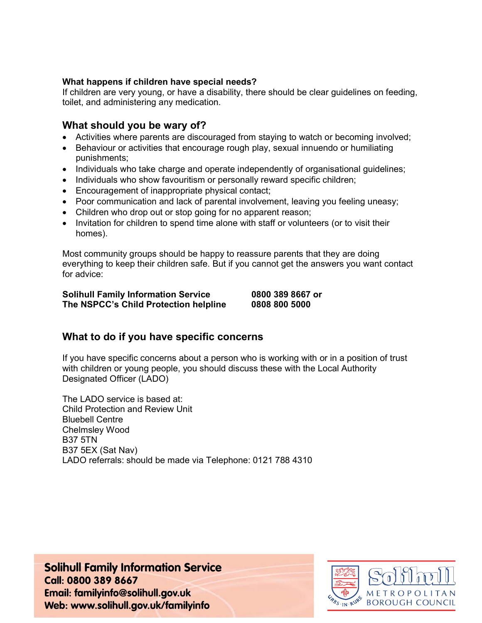#### What happens if children have special needs?

If children are very young, or have a disability, there should be clear guidelines on feeding, toilet, and administering any medication.

## What should you be wary of?

- Activities where parents are discouraged from staying to watch or becoming involved;
- Behaviour or activities that encourage rough play, sexual innuendo or humiliating punishments;
- Individuals who take charge and operate independently of organisational guidelines;
- Individuals who show favouritism or personally reward specific children;
- Encouragement of inappropriate physical contact;
- Poor communication and lack of parental involvement, leaving you feeling uneasy;
- Children who drop out or stop going for no apparent reason;
- Invitation for children to spend time alone with staff or volunteers (or to visit their homes).

Most community groups should be happy to reassure parents that they are doing everything to keep their children safe. But if you cannot get the answers you want contact for advice:

#### Solihull Family Information Service 0800 389 8667 or The NSPCC's Child Protection helpline 0808 800 5000

# What to do if you have specific concerns

If you have specific concerns about a person who is working with or in a position of trust with children or young people, you should discuss these with the Local Authority Designated Officer (LADO)

The LADO service is based at: Child Protection and Review Unit Bluebell Centre Chelmsley Wood B37 5TN B37 5EX (Sat Nav) LADO referrals: should be made via Telephone: 0121 788 4310

**Solihull Family Information Service** Call: 0800 389 8667 Email: familyinfo@solihull.gov.uk Web: www.solihull.gov.uk/familyinfo